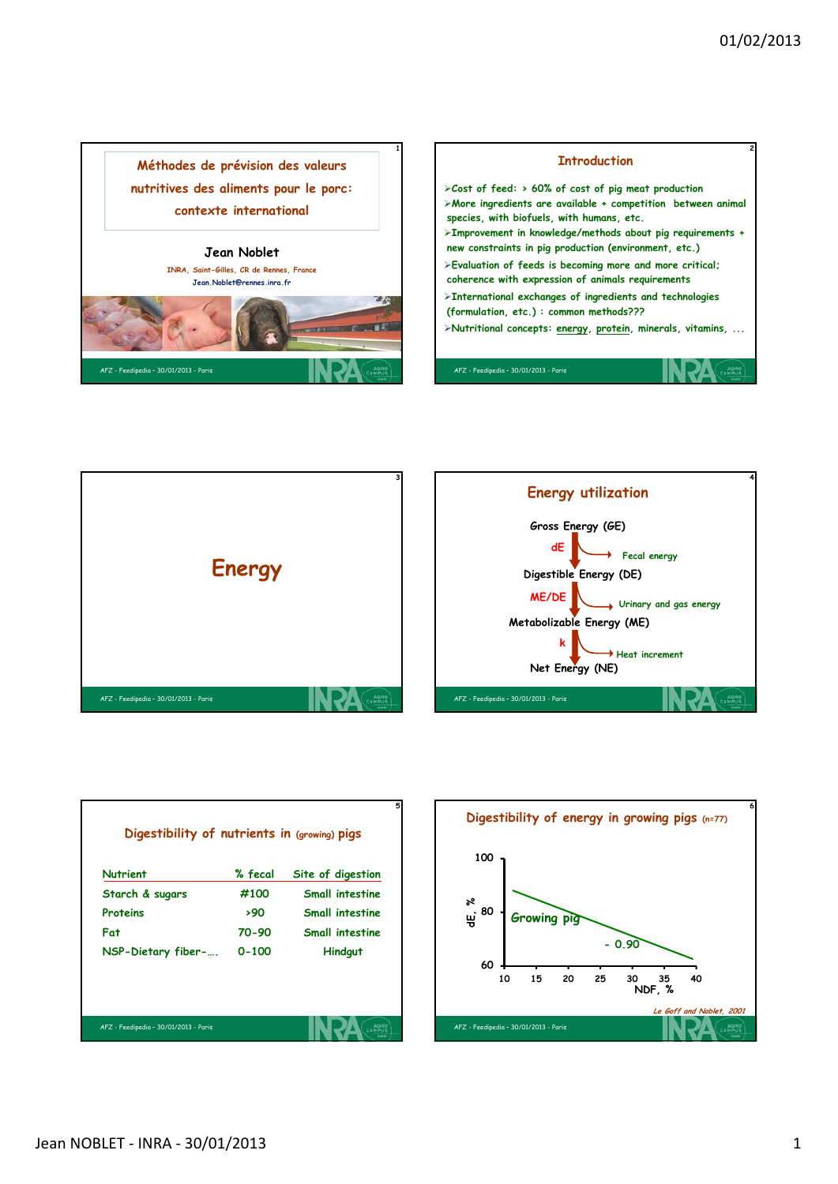





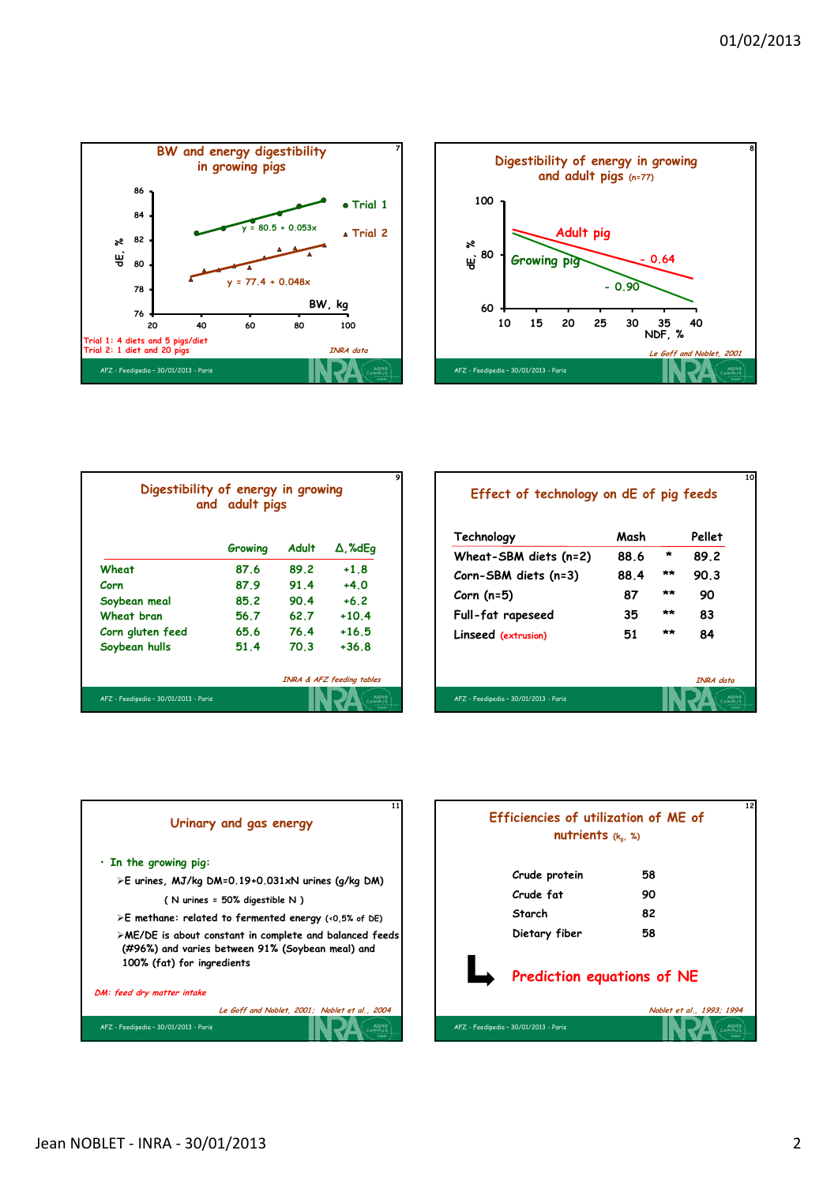**10**





|                  | Growing | <b>Adult</b> | $\Delta$ , %dEq |
|------------------|---------|--------------|-----------------|
| Wheat            | 87.6    | 89.2         | $+1.8$          |
| Corn             | 87.9    | 91.4         | $+40$           |
| Soybean meal     | 85.2    | 90.4         | $+6.2$          |
| Wheat bran       | 56.7    | 62.7         | $+10.4$         |
| Corn gluten feed | 65.6    | 76.4         | $+16.5$         |
| Soybean hulls    | 51.4    | 70.3         | $+36.8$         |

## **Effect of technology on dE of pig feeds**

| Technology                            | Mash |         | Pellet    |
|---------------------------------------|------|---------|-----------|
| Wheat-SBM diets (n=2)                 | 88.6 | $\star$ | 89.2      |
| $Corn-SBM$ diets $(n=3)$              | 88.4 | **      | 90.3      |
| Corn $(n=5)$                          | 87   | **      | 90        |
| Full-fat rapeseed                     | 35   | **      | 83        |
| Linseed (extrusion)                   | 51   | **      | 84        |
|                                       |      |         | INRA data |
| AFZ - Feedipedia - 30/01/2013 - Paris |      |         |           |



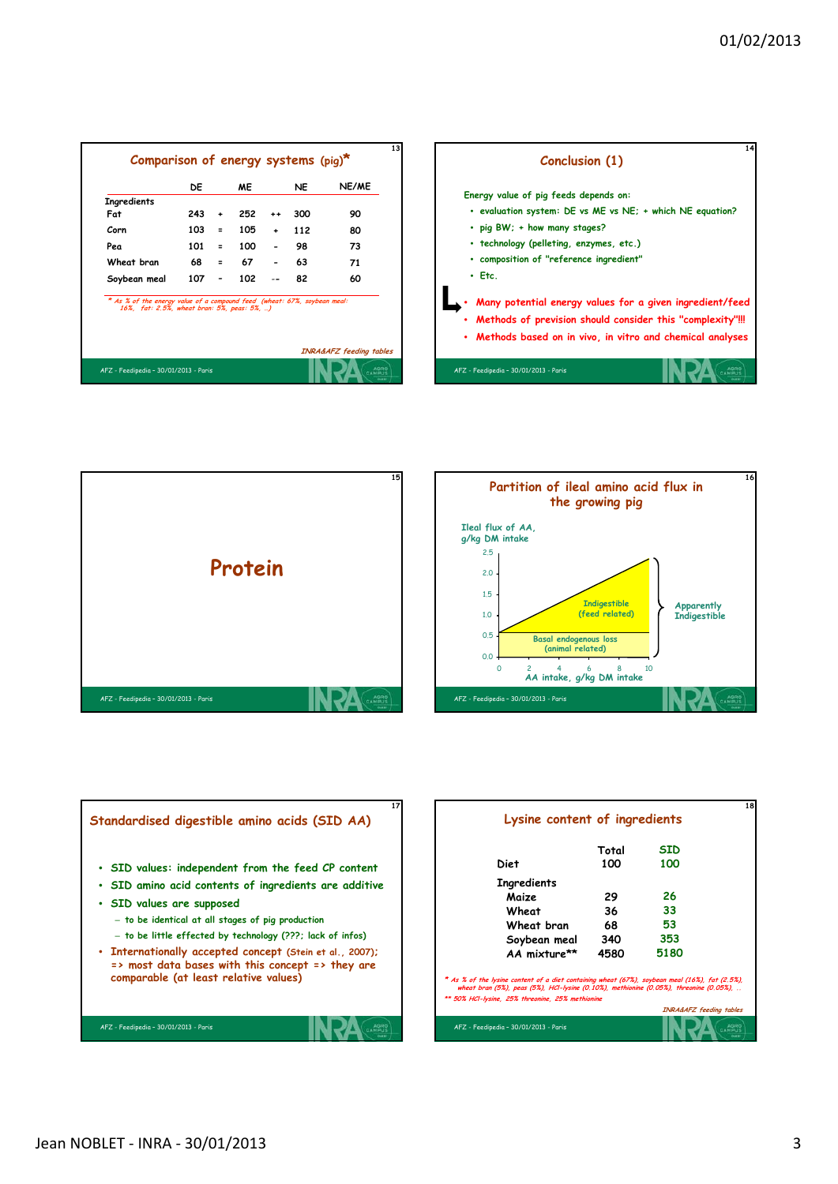|                                                                                                                         | DE  |                              | <b>ME</b> |             | NE. | NE/ME |
|-------------------------------------------------------------------------------------------------------------------------|-----|------------------------------|-----------|-------------|-----|-------|
| Ingredients                                                                                                             |     |                              |           |             |     |       |
| Fat                                                                                                                     | 243 | ٠                            | 252       | $++$        | 300 | 90    |
| Corn                                                                                                                    | 103 | $\mathbf{r}$                 | 105       | $\ddotmark$ | 112 | 80    |
| Pea                                                                                                                     | 101 | $\equiv$                     | 100       |             | 98  | 73    |
| Wheat bran                                                                                                              | 68  | $=$ $-$                      | 67        |             | 63  | 71    |
| Soybean meal                                                                                                            | 107 | $\qquad \qquad \blacksquare$ | 102       |             | 82  | 60    |
| * As % of the energy value of a compound feed (wheat: 67%, soybean meal:<br>16%, fat: 2.5%, wheat bran: 5%, peas: 5%, ) |     |                              |           |             |     |       |







|                                                                                                                                                                                                         | Total | <b>SID</b> |  |
|---------------------------------------------------------------------------------------------------------------------------------------------------------------------------------------------------------|-------|------------|--|
| Diet                                                                                                                                                                                                    | 100   | 100        |  |
| <b>Ingredients</b>                                                                                                                                                                                      |       |            |  |
| Maize                                                                                                                                                                                                   | 29    | 26         |  |
| Wheat                                                                                                                                                                                                   | 36    | 33         |  |
| Wheat bran                                                                                                                                                                                              | 68    | 53         |  |
| Soybean meal                                                                                                                                                                                            | 340   | 353        |  |
| AA mixture**                                                                                                                                                                                            | 4580  | 5180       |  |
| * As % of the lysine content of a diet containing wheat (67%), soybean meal (16%), fat (2.5%),<br>wheat bran $(5%)$ , peas $(5%)$ , HCI-lysine $(0.10%)$ , methionine $(0.05%)$ , threonine $(0.05%)$ , |       |            |  |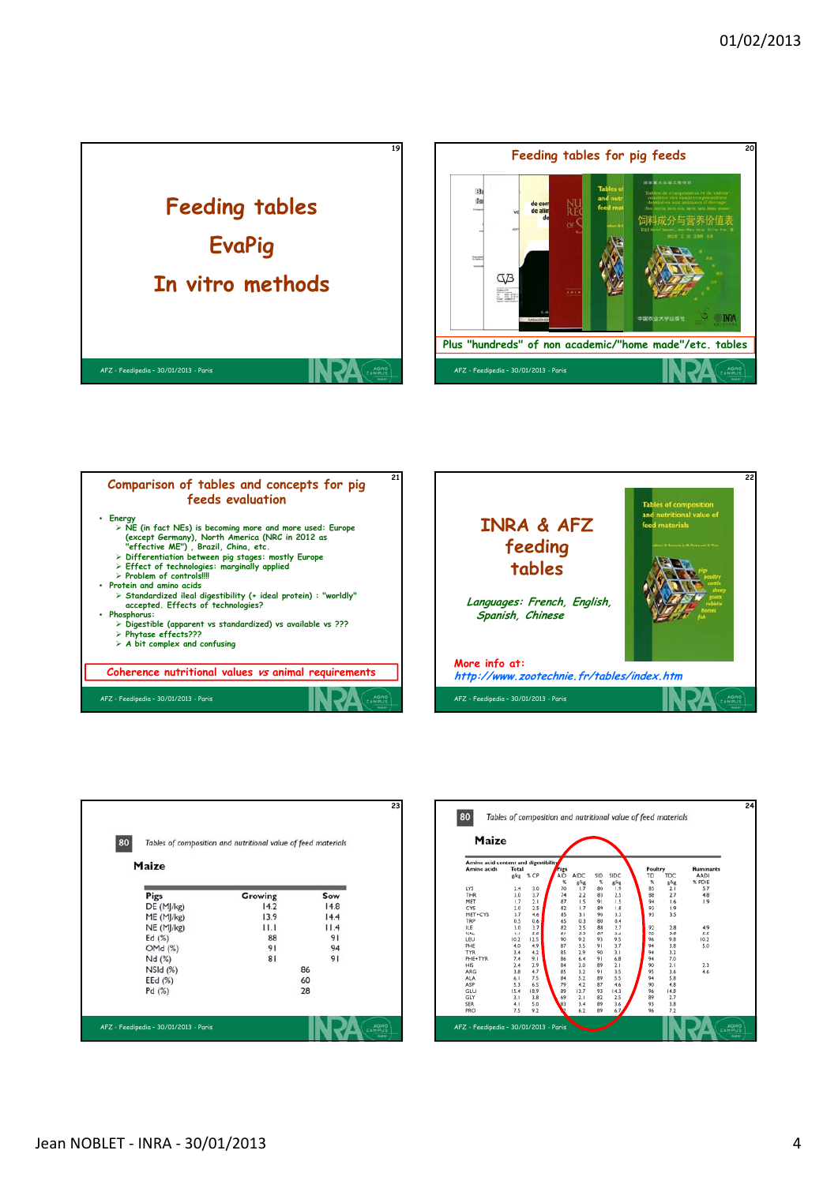









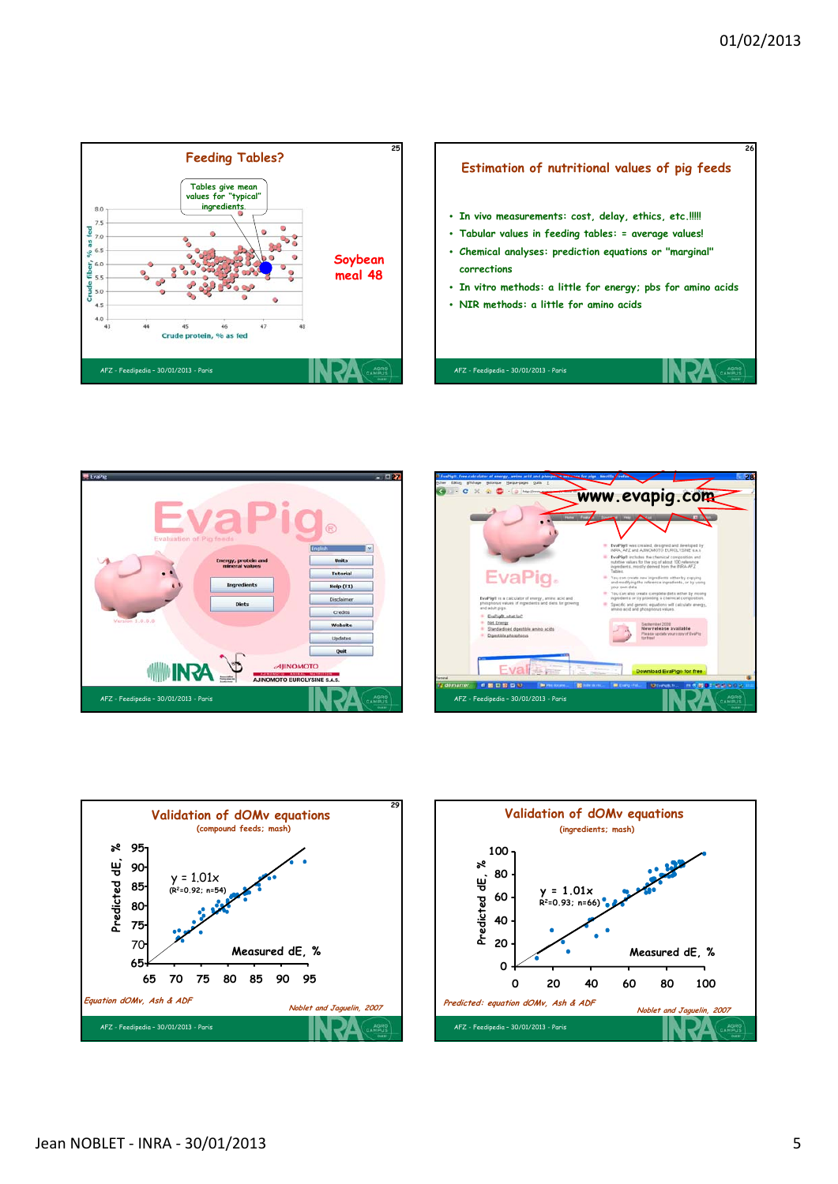